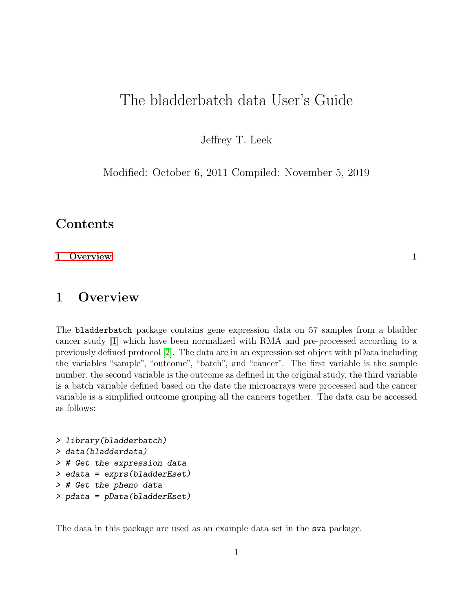# The bladderbatch data User's Guide

Jeffrey T. Leek

Modified: October 6, 2011 Compiled: November 5, 2019

### Contents

#### [1 Overview](#page-0-0) 1 and 1 and 1 and 1 and 1 and 1 and 1 and 1 and 1 and 1 and 1 and 1 and 1 and 1 and 1 and 1 and 1 and 1 and 1 and 1 and 1 and 1 and 1 and 1 and 1 and 1 and 1 and 1 and 1 and 1 and 1 and 1 and 1 and 1 and 1 and 1

## <span id="page-0-0"></span>1 Overview

The bladderbatch package contains gene expression data on 57 samples from a bladder cancer study [\[1\]](#page-1-0) which have been normalized with RMA and pre-processed according to a previously defined protocol [\[2\]](#page-1-1). The data are in an expression set object with pData including the variables "sample", "outcome", "batch", and "cancer". The first variable is the sample number, the second variable is the outcome as defined in the original study, the third variable is a batch variable defined based on the date the microarrays were processed and the cancer variable is a simplified outcome grouping all the cancers together. The data can be accessed as follows:

```
> library(bladderbatch)
> data(bladderdata)
> # Get the expression data
> edata = exprs(bladderEset)
> # Get the pheno data
> pdata = pData(bladderEset)
```
The data in this package are used as an example data set in the sva package.